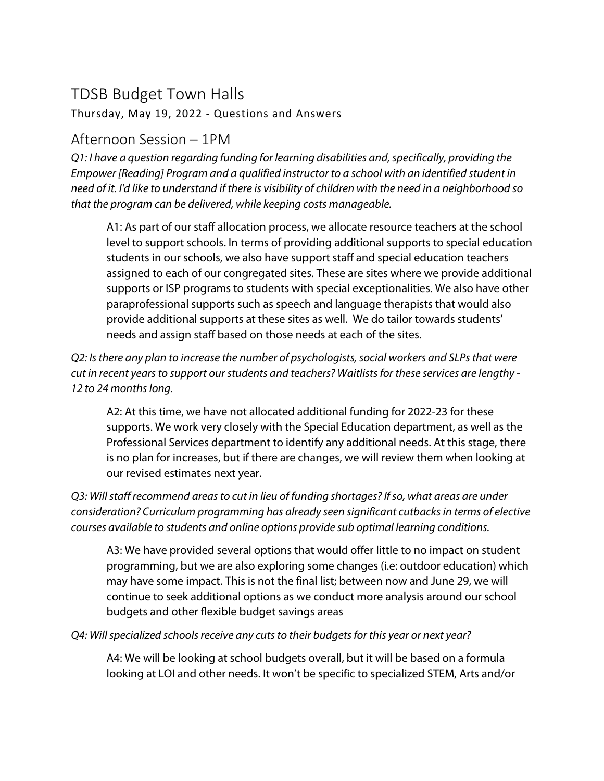# TDSB Budget Town Halls

Thursday, May 19, 2022 - Questions and Answers

# Afternoon Session – 1PM

*Q1: I have a question regarding funding for learning disabilities and, specifically, providing the Empower [Reading] Program and a qualified instructor to a school with an identified student in need of it. I'd like to understand if there is visibility of children with the need in a neighborhood so that the program can be delivered, while keeping costs manageable.*

A1: As part of our staff allocation process, we allocate resource teachers at the school level to support schools. In terms of providing additional supports to special education students in our schools, we also have support staff and special education teachers assigned to each of our congregated sites. These are sites where we provide additional supports or ISP programs to students with special exceptionalities. We also have other paraprofessional supports such as speech and language therapists that would also provide additional supports at these sites as well. We do tailor towards students' needs and assign staff based on those needs at each of the sites.

*Q2: Is there any plan to increase the number of psychologists, social workers and SLPs that were cut in recent years to support our students and teachers? Waitlistsfor these services are lengthy - 12 to 24 months long.*

A2: At this time, we have not allocated additional funding for 2022-23 for these supports. We work very closely with the Special Education department, as well as the Professional Services department to identify any additional needs. At this stage, there is no plan for increases, but if there are changes, we will review them when looking at our revised estimates next year.

*Q3: Will staff recommend areas to cut in lieu of funding shortages? If so, what areas are under consideration? Curriculum programming has already seen significant cutbacks in terms of elective courses available to students and online options provide sub optimal learning conditions.*

A3: We have provided several options that would offer little to no impact on student programming, but we are also exploring some changes (i.e: outdoor education) which may have some impact. This is not the final list; between now and June 29, we will continue to seek additional options as we conduct more analysis around our school budgets and other flexible budget savings areas

*Q4: Will specialized schools receive any cuts to their budgets for this year or next year?*

A4: We will be looking at school budgets overall, but it will be based on a formula looking at LOI and other needs. It won't be specific to specialized STEM, Arts and/or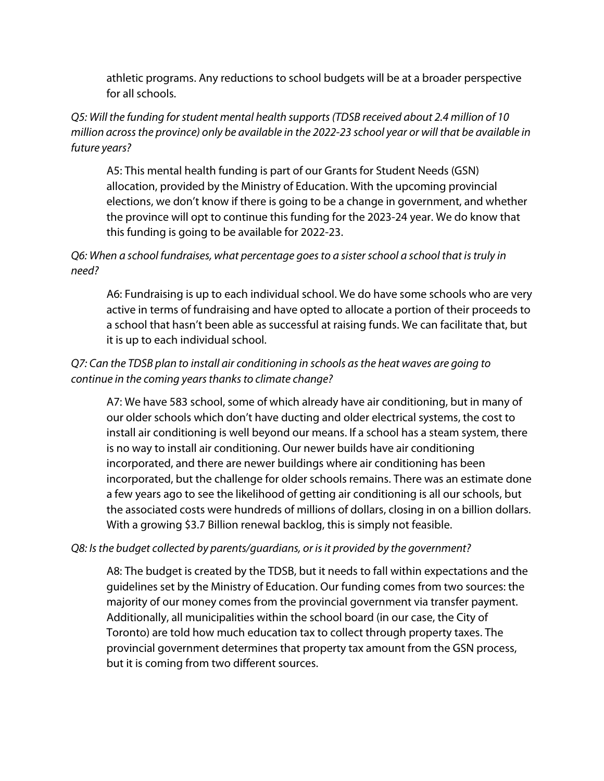athletic programs. Any reductions to school budgets will be at a broader perspective for all schools.

# *Q5: Will the funding for student mental health supports (TDSB received about 2.4 million of 10 million across the province) only be available in the 2022-23 school year or will that be available in future years?*

A5: This mental health funding is part of our Grants for Student Needs (GSN) allocation, provided by the Ministry of Education. With the upcoming provincial elections, we don't know if there is going to be a change in government, and whether the province will opt to continue this funding for the 2023-24 year. We do know that this funding is going to be available for 2022-23.

# *Q6: When a school fundraises, what percentage goes to a sister school a school that is truly in need?*

A6: Fundraising is up to each individual school. We do have some schools who are very active in terms of fundraising and have opted to allocate a portion of their proceeds to a school that hasn't been able as successful at raising funds. We can facilitate that, but it is up to each individual school.

# *Q7: Can the TDSB plan to install air conditioning in schools as the heat waves are going to continue in the coming years thanks to climate change?*

A7: We have 583 school, some of which already have air conditioning, but in many of our older schools which don't have ducting and older electrical systems, the cost to install air conditioning is well beyond our means. If a school has a steam system, there is no way to install air conditioning. Our newer builds have air conditioning incorporated, and there are newer buildings where air conditioning has been incorporated, but the challenge for older schools remains. There was an estimate done a few years ago to see the likelihood of getting air conditioning is all our schools, but the associated costs were hundreds of millions of dollars, closing in on a billion dollars. With a growing \$3.7 Billion renewal backlog, this is simply not feasible.

#### *Q8: Is the budget collected by parents/guardians, or is it provided by the government?*

A8: The budget is created by the TDSB, but it needs to fall within expectations and the guidelines set by the Ministry of Education. Our funding comes from two sources: the majority of our money comes from the provincial government via transfer payment. Additionally, all municipalities within the school board (in our case, the City of Toronto) are told how much education tax to collect through property taxes. The provincial government determines that property tax amount from the GSN process, but it is coming from two different sources.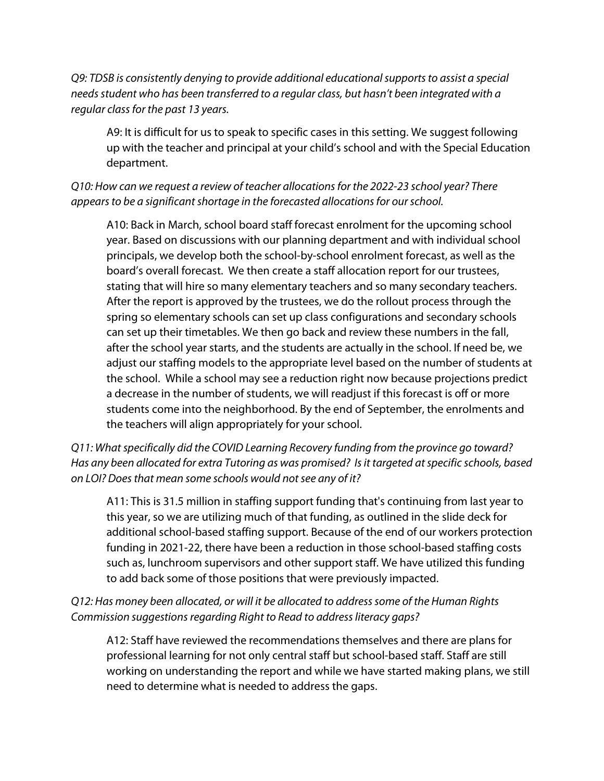*Q9: TDSB is consistently denying to provide additional educational supports to assist a special needs student who has been transferred to a regular class, but hasn't been integrated with a regular class for the past 13 years.* 

A9: It is difficult for us to speak to specific cases in this setting. We suggest following up with the teacher and principal at your child's school and with the Special Education department.

#### *Q10: How can we request a review of teacher allocations for the 2022-23 school year? There appears to be a significant shortage in the forecasted allocations for our school.*

A10: Back in March, school board staff forecast enrolment for the upcoming school year. Based on discussions with our planning department and with individual school principals, we develop both the school-by-school enrolment forecast, as well as the board's overall forecast. We then create a staff allocation report for our trustees, stating that will hire so many elementary teachers and so many secondary teachers. After the report is approved by the trustees, we do the rollout process through the spring so elementary schools can set up class configurations and secondary schools can set up their timetables. We then go back and review these numbers in the fall, after the school year starts, and the students are actually in the school. If need be, we adjust our staffing models to the appropriate level based on the number of students at the school. While a school may see a reduction right now because projections predict a decrease in the number of students, we will readjust if this forecast is off or more students come into the neighborhood. By the end of September, the enrolments and the teachers will align appropriately for your school.

## *Q11: What specifically did the COVID Learning Recovery funding from the province go toward? Has any been allocated for extra Tutoring as was promised? Is it targeted at specific schools, based on LOI? Does that mean some schools would not see any of it?*

A11: This is 31.5 million in staffing support funding that's continuing from last year to this year, so we are utilizing much of that funding, as outlined in the slide deck for additional school-based staffing support. Because of the end of our workers protection funding in 2021-22, there have been a reduction in those school-based staffing costs such as, lunchroom supervisors and other support staff. We have utilized this funding to add back some of those positions that were previously impacted.

# *Q12: Has money been allocated, or will it be allocated to address some of the Human Rights Commission suggestions regarding Right to Read to address literacy gaps?*

A12: Staff have reviewed the recommendations themselves and there are plans for professional learning for not only central staff but school-based staff. Staff are still working on understanding the report and while we have started making plans, we still need to determine what is needed to address the gaps.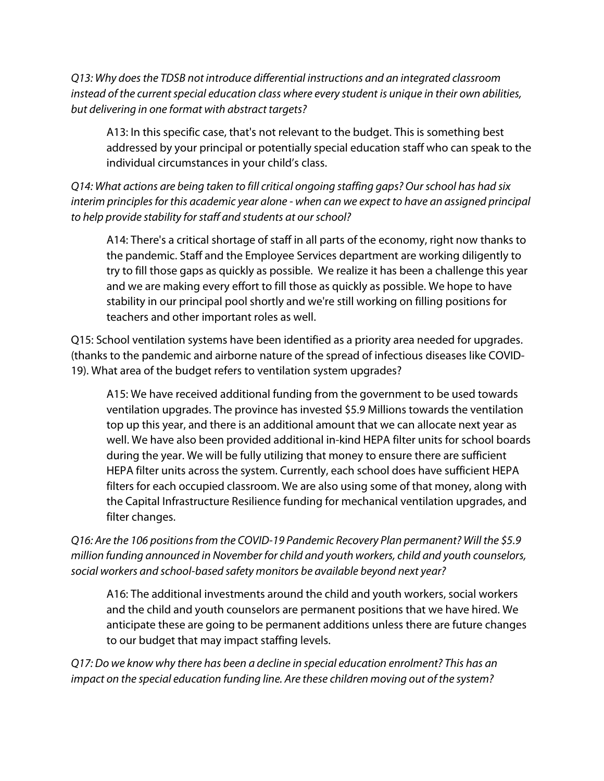*Q13: Why does the TDSB not introduce differential instructions and an integrated classroom instead of the current special education class where every student is unique in their own abilities, but delivering in one format with abstract targets?*

A13: In this specific case, that's not relevant to the budget. This is something best addressed by your principal or potentially special education staff who can speak to the individual circumstances in your child's class.

*Q14: What actions are being taken to fill critical ongoing staffing gaps? Our school has had six interim principles for this academic year alone - when can we expect to have an assigned principal to help provide stability for staff and students at our school?*

A14: There's a critical shortage of staff in all parts of the economy, right now thanks to the pandemic. Staff and the Employee Services department are working diligently to try to fill those gaps as quickly as possible. We realize it has been a challenge this year and we are making every effort to fill those as quickly as possible. We hope to have stability in our principal pool shortly and we're still working on filling positions for teachers and other important roles as well.

Q15: School ventilation systems have been identified as a priority area needed for upgrades. (thanks to the pandemic and airborne nature of the spread of infectious diseases like COVID-19). What area of the budget refers to ventilation system upgrades?

A15: We have received additional funding from the government to be used towards ventilation upgrades. The province has invested \$5.9 Millions towards the ventilation top up this year, and there is an additional amount that we can allocate next year as well. We have also been provided additional in-kind HEPA filter units for school boards during the year. We will be fully utilizing that money to ensure there are sufficient HEPA filter units across the system. Currently, each school does have sufficient HEPA filters for each occupied classroom. We are also using some of that money, along with the Capital Infrastructure Resilience funding for mechanical ventilation upgrades, and filter changes.

*Q16: Are the 106 positions from the COVID-19 Pandemic Recovery Plan permanent? Will the \$5.9 million funding announced in November for child and youth workers, child and youth counselors, social workers and school-based safety monitors be available beyond next year?*

A16: The additional investments around the child and youth workers, social workers and the child and youth counselors are permanent positions that we have hired. We anticipate these are going to be permanent additions unless there are future changes to our budget that may impact staffing levels.

*Q17: Do we know why there has been a decline in special education enrolment? This has an impact on the special education funding line. Are these children moving out of the system?*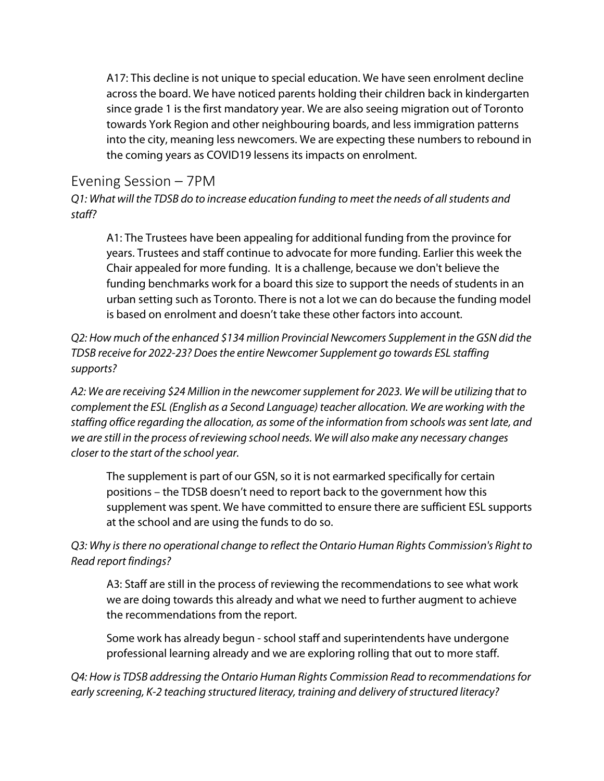A17: This decline is not unique to special education. We have seen enrolment decline across the board. We have noticed parents holding their children back in kindergarten since grade 1 is the first mandatory year. We are also seeing migration out of Toronto towards York Region and other neighbouring boards, and less immigration patterns into the city, meaning less newcomers. We are expecting these numbers to rebound in the coming years as COVID19 lessens its impacts on enrolment.

# Evening Session – 7PM

*Q1: What will the TDSB do to increase education funding to meet the needs of all students and staff?*

A1: The Trustees have been appealing for additional funding from the province for years. Trustees and staff continue to advocate for more funding. Earlier this week the Chair appealed for more funding. It is a challenge, because we don't believe the funding benchmarks work for a board this size to support the needs of students in an urban setting such as Toronto. There is not a lot we can do because the funding model is based on enrolment and doesn't take these other factors into account.

*Q2: How much of the enhanced \$134 million Provincial Newcomers Supplement in the GSN did the TDSB receive for 2022-23? Does the entire Newcomer Supplement go towards ESL staffing supports?*

*A2: We are receiving \$24 Million in the newcomer supplement for 2023. We will be utilizing that to complement the ESL (English as a Second Language) teacher allocation. We are working with the staffing office regarding the allocation, as some of the information from schools was sent late, and we are still in the process of reviewing school needs. We will also make any necessary changes closer to the start of the school year.* 

The supplement is part of our GSN, so it is not earmarked specifically for certain positions – the TDSB doesn't need to report back to the government how this supplement was spent. We have committed to ensure there are sufficient ESL supports at the school and are using the funds to do so.

*Q3: Why is there no operational change to reflect the Ontario Human Rights Commission's Right to Read report findings?*

A3: Staff are still in the process of reviewing the recommendations to see what work we are doing towards this already and what we need to further augment to achieve the recommendations from the report.

Some work has already begun - school staff and superintendents have undergone professional learning already and we are exploring rolling that out to more staff.

*Q4: How is TDSB addressing the Ontario Human Rights Commission Read to recommendations for early screening, K-2 teaching structured literacy, training and delivery of structured literacy?*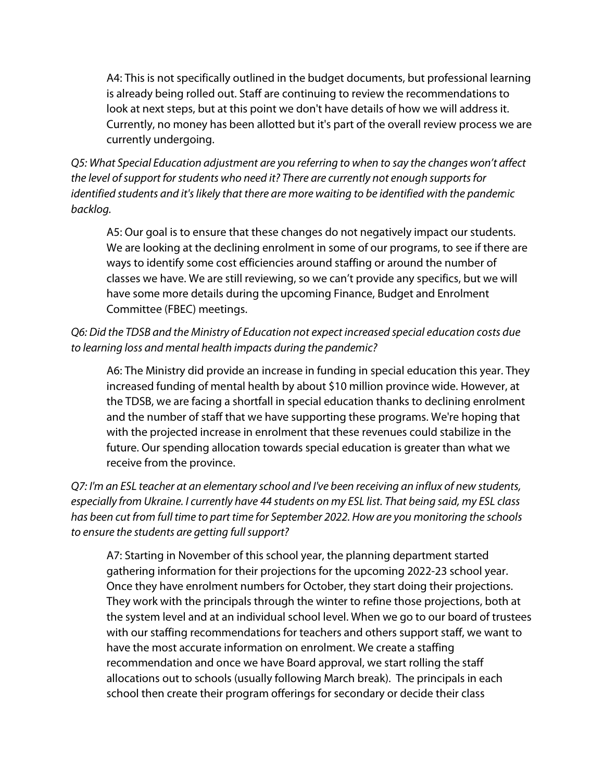A4: This is not specifically outlined in the budget documents, but professional learning is already being rolled out. Staff are continuing to review the recommendations to look at next steps, but at this point we don't have details of how we will address it. Currently, no money has been allotted but it's part of the overall review process we are currently undergoing.

*Q5: What Special Education adjustment are you referring to when to say the changes won't affect the level of support for students who need it? There are currently not enough supports for identified students and it's likely that there are more waiting to be identified with the pandemic backlog.*

A5: Our goal is to ensure that these changes do not negatively impact our students. We are looking at the declining enrolment in some of our programs, to see if there are ways to identify some cost efficiencies around staffing or around the number of classes we have. We are still reviewing, so we can't provide any specifics, but we will have some more details during the upcoming Finance, Budget and Enrolment Committee (FBEC) meetings.

# *Q6: Did the TDSB and the Ministry of Education not expect increased special education costs due to learning loss and mental health impacts during the pandemic?*

A6: The Ministry did provide an increase in funding in special education this year. They increased funding of mental health by about \$10 million province wide. However, at the TDSB, we are facing a shortfall in special education thanks to declining enrolment and the number of staff that we have supporting these programs. We're hoping that with the projected increase in enrolment that these revenues could stabilize in the future. Our spending allocation towards special education is greater than what we receive from the province.

*Q7: I'm an ESL teacher at an elementary school and I've been receiving an influx of new students, especially from Ukraine. I currently have 44 students on my ESL list. That being said, my ESL class has been cut from full time to part time for September 2022. How are you monitoring the schools to ensure the students are getting full support?*

A7: Starting in November of this school year, the planning department started gathering information for their projections for the upcoming 2022-23 school year. Once they have enrolment numbers for October, they start doing their projections. They work with the principals through the winter to refine those projections, both at the system level and at an individual school level. When we go to our board of trustees with our staffing recommendations for teachers and others support staff, we want to have the most accurate information on enrolment. We create a staffing recommendation and once we have Board approval, we start rolling the staff allocations out to schools (usually following March break). The principals in each school then create their program offerings for secondary or decide their class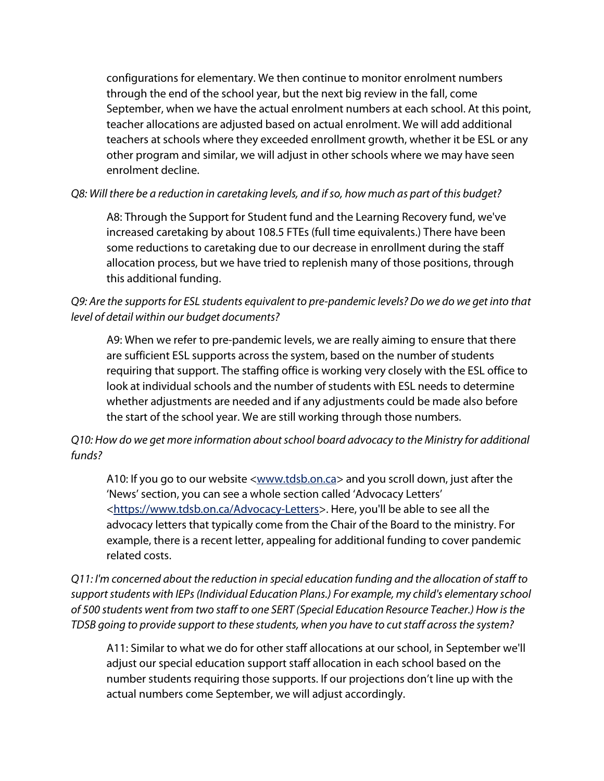configurations for elementary. We then continue to monitor enrolment numbers through the end of the school year, but the next big review in the fall, come September, when we have the actual enrolment numbers at each school. At this point, teacher allocations are adjusted based on actual enrolment. We will add additional teachers at schools where they exceeded enrollment growth, whether it be ESL or any other program and similar, we will adjust in other schools where we may have seen enrolment decline.

#### *Q8: Will there be a reduction in caretaking levels, and if so, how much as part of this budget?*

A8: Through the Support for Student fund and the Learning Recovery fund, we've increased caretaking by about 108.5 FTEs (full time equivalents.) There have been some reductions to caretaking due to our decrease in enrollment during the staff allocation process, but we have tried to replenish many of those positions, through this additional funding.

# *Q9: Are the supports for ESL students equivalent to pre-pandemic levels? Do we do we get into that level of detail within our budget documents?*

A9: When we refer to pre-pandemic levels, we are really aiming to ensure that there are sufficient ESL supports across the system, based on the number of students requiring that support. The staffing office is working very closely with the ESL office to look at individual schools and the number of students with ESL needs to determine whether adjustments are needed and if any adjustments could be made also before the start of the school year. We are still working through those numbers.

# *Q10: How do we get more information about school board advocacy to the Ministry for additional funds?*

A10: If you go to our website <www.tdsb.on.ca> and you scroll down, just after the 'News' section, you can see a whole section called 'Advocacy Letters' [<https://www.tdsb.on.ca/Advocacy-Letters>](https://www.tdsb.on.ca/Advocacy-Letters). Here, you'll be able to see all the advocacy letters that typically come from the Chair of the Board to the ministry. For example, there is a recent letter, appealing for additional funding to cover pandemic related costs.

*Q11: I'm concerned about the reduction in special education funding and the allocation of staff to support students with IEPs (Individual Education Plans.) For example, my child's elementary school of 500 students went from two staff to one SERT (Special Education Resource Teacher.) How is the TDSB going to provide support to these students, when you have to cut staff across the system?*

A11: Similar to what we do for other staff allocations at our school, in September we'll adjust our special education support staff allocation in each school based on the number students requiring those supports. If our projections don't line up with the actual numbers come September, we will adjust accordingly.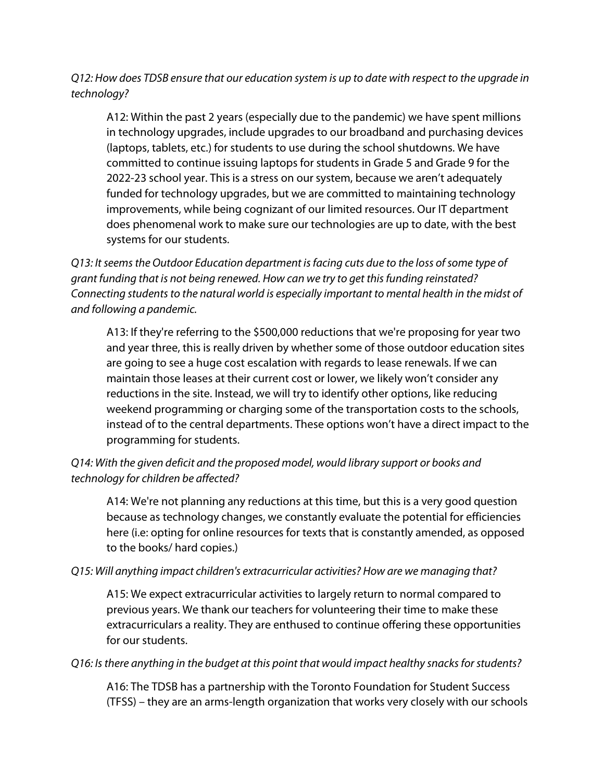# *Q12: How does TDSB ensure that our education system is up to date with respect to the upgrade in technology?*

A12: Within the past 2 years (especially due to the pandemic) we have spent millions in technology upgrades, include upgrades to our broadband and purchasing devices (laptops, tablets, etc.) for students to use during the school shutdowns. We have committed to continue issuing laptops for students in Grade 5 and Grade 9 for the 2022-23 school year. This is a stress on our system, because we aren't adequately funded for technology upgrades, but we are committed to maintaining technology improvements, while being cognizant of our limited resources. Our IT department does phenomenal work to make sure our technologies are up to date, with the best systems for our students.

*Q13: It seems the Outdoor Education department is facing cuts due to the loss of some type of grant funding that is not being renewed. How can we try to get this funding reinstated? Connecting students to the natural world is especially important to mental health in the midst of and following a pandemic.*

A13: If they're referring to the \$500,000 reductions that we're proposing for year two and year three, this is really driven by whether some of those outdoor education sites are going to see a huge cost escalation with regards to lease renewals. If we can maintain those leases at their current cost or lower, we likely won't consider any reductions in the site. Instead, we will try to identify other options, like reducing weekend programming or charging some of the transportation costs to the schools, instead of to the central departments. These options won't have a direct impact to the programming for students.

# *Q14: With the given deficit and the proposed model, would library support or books and technology for children be affected?*

A14: We're not planning any reductions at this time, but this is a very good question because as technology changes, we constantly evaluate the potential for efficiencies here (i.e: opting for online resources for texts that is constantly amended, as opposed to the books/ hard copies.)

#### *Q15: Will anything impact children's extracurricular activities? How are we managing that?*

A15: We expect extracurricular activities to largely return to normal compared to previous years. We thank our teachers for volunteering their time to make these extracurriculars a reality. They are enthused to continue offering these opportunities for our students.

#### *Q16: Is there anything in the budget at this point that would impact healthy snacks for students?*

A16: The TDSB has a partnership with the Toronto Foundation for Student Success (TFSS) – they are an arms-length organization that works very closely with our schools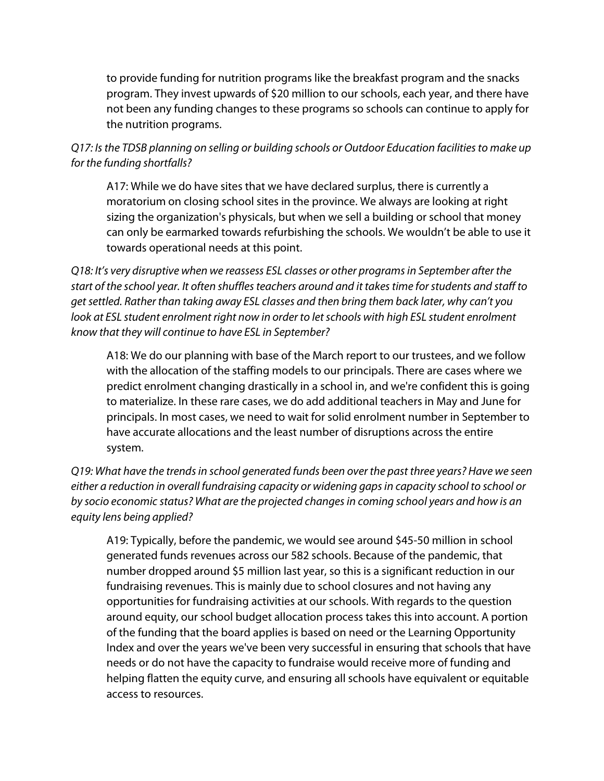to provide funding for nutrition programs like the breakfast program and the snacks program. They invest upwards of \$20 million to our schools, each year, and there have not been any funding changes to these programs so schools can continue to apply for the nutrition programs.

*Q17: Is the TDSB planning on selling or building schools or Outdoor Education facilities to make up for the funding shortfalls?*

A17: While we do have sites that we have declared surplus, there is currently a moratorium on closing school sites in the province. We always are looking at right sizing the organization's physicals, but when we sell a building or school that money can only be earmarked towards refurbishing the schools. We wouldn't be able to use it towards operational needs at this point.

*Q18: It's very disruptive when we reassess ESL classes or other programs in September after the start of the school year. It often shuffles teachers around and it takes time for students and staff to get settled. Rather than taking away ESL classes and then bring them back later, why can't you*  look at ESL student enrolment right now in order to let schools with high ESL student enrolment *know that they will continue to have ESL in September?*

A18: We do our planning with base of the March report to our trustees, and we follow with the allocation of the staffing models to our principals. There are cases where we predict enrolment changing drastically in a school in, and we're confident this is going to materialize. In these rare cases, we do add additional teachers in May and June for principals. In most cases, we need to wait for solid enrolment number in September to have accurate allocations and the least number of disruptions across the entire system.

*Q19: What have the trends in school generated funds been over the past three years? Have we seen either a reduction in overall fundraising capacity or widening gaps in capacity school to school or by socio economic status? What are the projected changes in coming school years and how is an equity lens being applied?*

A19: Typically, before the pandemic, we would see around \$45-50 million in school generated funds revenues across our 582 schools. Because of the pandemic, that number dropped around \$5 million last year, so this is a significant reduction in our fundraising revenues. This is mainly due to school closures and not having any opportunities for fundraising activities at our schools. With regards to the question around equity, our school budget allocation process takes this into account. A portion of the funding that the board applies is based on need or the Learning Opportunity Index and over the years we've been very successful in ensuring that schools that have needs or do not have the capacity to fundraise would receive more of funding and helping flatten the equity curve, and ensuring all schools have equivalent or equitable access to resources.